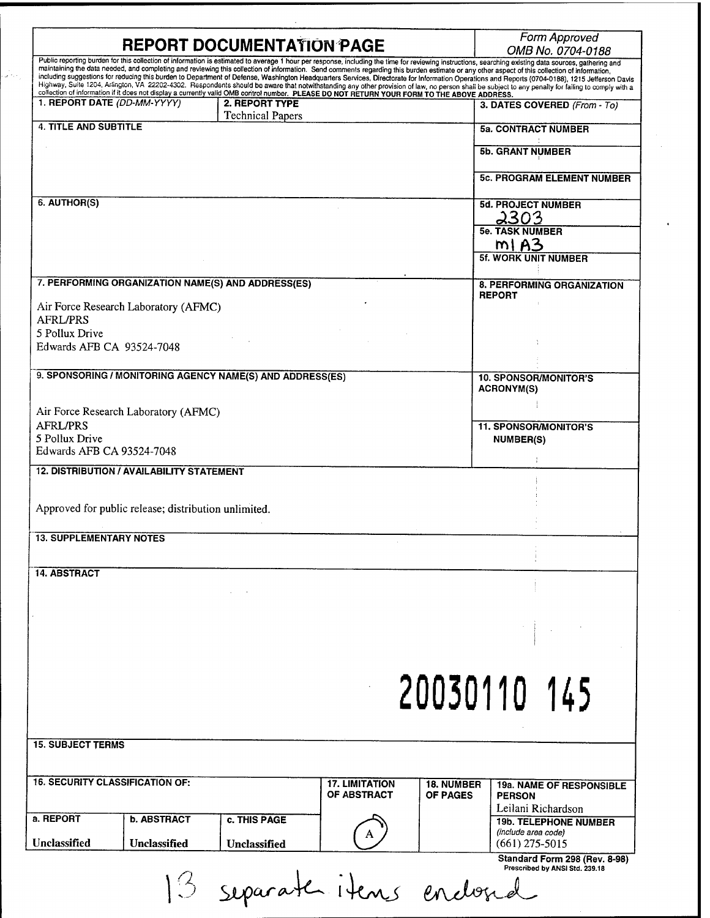|                                        |                                                      | <b>REPORT DOCUMENTATION PAGE</b>                                                                                                            |                       |                   | Form Approved<br>OMB No. 0704-0188                                                                                                                                                                                                                                                                                                                                                                     |
|----------------------------------------|------------------------------------------------------|---------------------------------------------------------------------------------------------------------------------------------------------|-----------------------|-------------------|--------------------------------------------------------------------------------------------------------------------------------------------------------------------------------------------------------------------------------------------------------------------------------------------------------------------------------------------------------------------------------------------------------|
|                                        |                                                      |                                                                                                                                             |                       |                   | Public reporting burden for this collection of information is estimated to average 1 hour per response, including the time for reviewing instructions, searching existing data sources, gathering and<br>maintaining the data needed, and completing and reviewing this collection of information. Send comments regarding this burden estimate or any other aspect of this collection of information, |
|                                        |                                                      | collection of information if it does not display a currently valid OMB control number. PLEASE DO NOT RETURN YOUR FORM TO THE ABOVE ADDRESS. |                       |                   | including suggestions for reducing this burden to Department of Defense, Washington Headquarters Services, Directorate for Information Operations and Reports (0704-0188), 1215 Jefferson Davis<br>Highway, Suite 1204, Arlington, VA 22202-4302. Respondents should be aware that notwithstanding any other provision of law, no person shall be subject to any penally for failing to comply with a  |
| 1. REPORT DATE (DD-MM-YYYY)            |                                                      | 2. REPORT TYPE                                                                                                                              |                       |                   | 3. DATES COVERED (From - To)                                                                                                                                                                                                                                                                                                                                                                           |
| <b>4. TITLE AND SUBTITLE</b>           |                                                      | <b>Technical Papers</b>                                                                                                                     |                       |                   | <b>5a. CONTRACT NUMBER</b>                                                                                                                                                                                                                                                                                                                                                                             |
|                                        |                                                      |                                                                                                                                             |                       |                   |                                                                                                                                                                                                                                                                                                                                                                                                        |
|                                        |                                                      |                                                                                                                                             |                       |                   | <b>5b. GRANT NUMBER</b>                                                                                                                                                                                                                                                                                                                                                                                |
|                                        |                                                      |                                                                                                                                             |                       |                   | <b>5c. PROGRAM ELEMENT NUMBER</b>                                                                                                                                                                                                                                                                                                                                                                      |
| 6. AUTHOR(S)                           |                                                      |                                                                                                                                             |                       |                   |                                                                                                                                                                                                                                                                                                                                                                                                        |
|                                        |                                                      |                                                                                                                                             |                       |                   | <b>5d. PROJECT NUMBER</b><br>2303                                                                                                                                                                                                                                                                                                                                                                      |
|                                        |                                                      |                                                                                                                                             |                       |                   | <b>5e. TASK NUMBER</b>                                                                                                                                                                                                                                                                                                                                                                                 |
|                                        |                                                      |                                                                                                                                             |                       |                   | m1 A3                                                                                                                                                                                                                                                                                                                                                                                                  |
|                                        |                                                      |                                                                                                                                             |                       |                   | <b>5f. WORK UNIT NUMBER</b>                                                                                                                                                                                                                                                                                                                                                                            |
|                                        |                                                      | 7. PERFORMING ORGANIZATION NAME(S) AND ADDRESS(ES)                                                                                          |                       |                   | 8. PERFORMING ORGANIZATION                                                                                                                                                                                                                                                                                                                                                                             |
|                                        | Air Force Research Laboratory (AFMC)                 |                                                                                                                                             |                       |                   | <b>REPORT</b>                                                                                                                                                                                                                                                                                                                                                                                          |
| <b>AFRL/PRS</b>                        |                                                      |                                                                                                                                             |                       |                   |                                                                                                                                                                                                                                                                                                                                                                                                        |
| 5 Pollux Drive                         |                                                      |                                                                                                                                             |                       |                   |                                                                                                                                                                                                                                                                                                                                                                                                        |
| Edwards AFB CA 93524-7048              |                                                      |                                                                                                                                             |                       |                   |                                                                                                                                                                                                                                                                                                                                                                                                        |
|                                        |                                                      | 9. SPONSORING / MONITORING AGENCY NAME(S) AND ADDRESS(ES)                                                                                   |                       |                   | <b>10. SPONSOR/MONITOR'S</b>                                                                                                                                                                                                                                                                                                                                                                           |
|                                        |                                                      |                                                                                                                                             |                       |                   | <b>ACRONYM(S)</b>                                                                                                                                                                                                                                                                                                                                                                                      |
|                                        | Air Force Research Laboratory (AFMC)                 |                                                                                                                                             |                       |                   |                                                                                                                                                                                                                                                                                                                                                                                                        |
| <b>AFRL/PRS</b>                        |                                                      |                                                                                                                                             |                       |                   | <b>11. SPONSOR/MONITOR'S</b>                                                                                                                                                                                                                                                                                                                                                                           |
| 5 Pollux Drive                         |                                                      |                                                                                                                                             |                       |                   | <b>NUMBER(S)</b>                                                                                                                                                                                                                                                                                                                                                                                       |
| Edwards AFB CA 93524-7048              |                                                      |                                                                                                                                             |                       |                   |                                                                                                                                                                                                                                                                                                                                                                                                        |
|                                        | <b>12. DISTRIBUTION / AVAILABILITY STATEMENT</b>     |                                                                                                                                             |                       |                   |                                                                                                                                                                                                                                                                                                                                                                                                        |
|                                        |                                                      |                                                                                                                                             |                       |                   |                                                                                                                                                                                                                                                                                                                                                                                                        |
|                                        | Approved for public release; distribution unlimited. |                                                                                                                                             |                       |                   |                                                                                                                                                                                                                                                                                                                                                                                                        |
| <b>13. SUPPLEMENTARY NOTES</b>         |                                                      |                                                                                                                                             |                       |                   |                                                                                                                                                                                                                                                                                                                                                                                                        |
|                                        |                                                      |                                                                                                                                             |                       |                   |                                                                                                                                                                                                                                                                                                                                                                                                        |
| <b>14. ABSTRACT</b>                    |                                                      |                                                                                                                                             |                       |                   |                                                                                                                                                                                                                                                                                                                                                                                                        |
|                                        |                                                      |                                                                                                                                             |                       |                   |                                                                                                                                                                                                                                                                                                                                                                                                        |
|                                        |                                                      |                                                                                                                                             |                       |                   |                                                                                                                                                                                                                                                                                                                                                                                                        |
|                                        |                                                      |                                                                                                                                             |                       |                   |                                                                                                                                                                                                                                                                                                                                                                                                        |
|                                        |                                                      |                                                                                                                                             |                       |                   |                                                                                                                                                                                                                                                                                                                                                                                                        |
|                                        |                                                      |                                                                                                                                             |                       |                   |                                                                                                                                                                                                                                                                                                                                                                                                        |
|                                        |                                                      |                                                                                                                                             |                       |                   |                                                                                                                                                                                                                                                                                                                                                                                                        |
|                                        |                                                      |                                                                                                                                             |                       |                   | 20030110 145                                                                                                                                                                                                                                                                                                                                                                                           |
|                                        |                                                      |                                                                                                                                             |                       |                   |                                                                                                                                                                                                                                                                                                                                                                                                        |
|                                        |                                                      |                                                                                                                                             |                       |                   |                                                                                                                                                                                                                                                                                                                                                                                                        |
| <b>15. SUBJECT TERMS</b>               |                                                      |                                                                                                                                             |                       |                   |                                                                                                                                                                                                                                                                                                                                                                                                        |
|                                        |                                                      |                                                                                                                                             |                       |                   |                                                                                                                                                                                                                                                                                                                                                                                                        |
| <b>16. SECURITY CLASSIFICATION OF:</b> |                                                      |                                                                                                                                             | <b>17. LIMITATION</b> | <b>18. NUMBER</b> | <b>19a. NAME OF RESPONSIBLE</b>                                                                                                                                                                                                                                                                                                                                                                        |
|                                        |                                                      |                                                                                                                                             | OF ABSTRACT           | <b>OF PAGES</b>   | <b>PERSON</b>                                                                                                                                                                                                                                                                                                                                                                                          |
| a. REPORT                              | <b>b. ABSTRACT</b>                                   | c. THIS PAGE                                                                                                                                |                       |                   | Leilani Richardson<br><b>19b. TELEPHONE NUMBER</b>                                                                                                                                                                                                                                                                                                                                                     |
|                                        |                                                      |                                                                                                                                             | A                     |                   | (include area code)                                                                                                                                                                                                                                                                                                                                                                                    |
| <b>Unclassified</b>                    | Unclassified                                         | Unclassified                                                                                                                                |                       |                   | $(661)$ 275-5015<br>Standard Form 298 (Rev. 8-98)                                                                                                                                                                                                                                                                                                                                                      |
|                                        |                                                      |                                                                                                                                             |                       |                   | Prescribed by ANSI Std. 239.18                                                                                                                                                                                                                                                                                                                                                                         |
|                                        |                                                      | 3 separates items enclosed                                                                                                                  |                       |                   |                                                                                                                                                                                                                                                                                                                                                                                                        |
|                                        |                                                      |                                                                                                                                             |                       |                   |                                                                                                                                                                                                                                                                                                                                                                                                        |

 $\hat{\mathbf{r}}$ 

الأبالي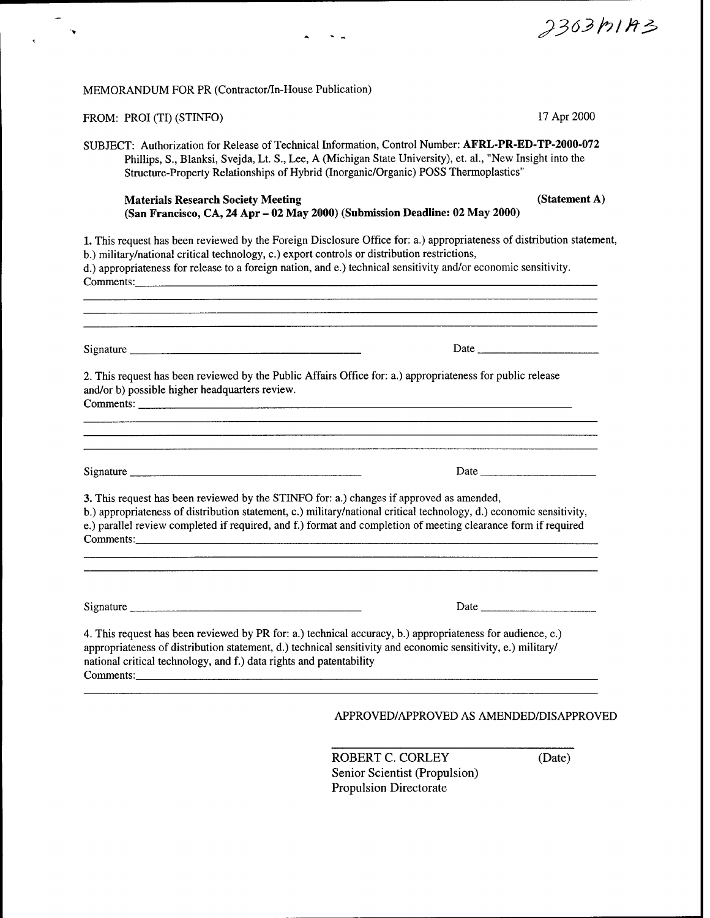| MEMORANDUM FOR PR (Contractor/In-House Publication)                                                                                                                                                                                                                                                                                            |                                                                                                                                                                                                                                                                                                                                             |               |
|------------------------------------------------------------------------------------------------------------------------------------------------------------------------------------------------------------------------------------------------------------------------------------------------------------------------------------------------|---------------------------------------------------------------------------------------------------------------------------------------------------------------------------------------------------------------------------------------------------------------------------------------------------------------------------------------------|---------------|
| FROM: PROI (TI) (STINFO)                                                                                                                                                                                                                                                                                                                       |                                                                                                                                                                                                                                                                                                                                             | 17 Apr 2000   |
| SUBJECT: Authorization for Release of Technical Information, Control Number: AFRL-PR-ED-TP-2000-072                                                                                                                                                                                                                                            | Phillips, S., Blanksi, Svejda, Lt. S., Lee, A (Michigan State University), et. al., "New Insight into the<br>Structure-Property Relationships of Hybrid (Inorganic/Organic) POSS Thermoplastics"                                                                                                                                            |               |
| <b>Materials Research Society Meeting</b>                                                                                                                                                                                                                                                                                                      | (San Francisco, CA, 24 Apr - 02 May 2000) (Submission Deadline: 02 May 2000)                                                                                                                                                                                                                                                                | (Statement A) |
| 1. This request has been reviewed by the Foreign Disclosure Office for: a.) appropriateness of distribution statement,<br>b.) military/national critical technology, c.) export controls or distribution restrictions,<br>d.) appropriateness for release to a foreign nation, and e.) technical sensitivity and/or economic sensitivity.      |                                                                                                                                                                                                                                                                                                                                             |               |
|                                                                                                                                                                                                                                                                                                                                                |                                                                                                                                                                                                                                                                                                                                             |               |
| 2. This request has been reviewed by the Public Affairs Office for: a.) appropriateness for public release<br>and/or b) possible higher headquarters review.                                                                                                                                                                                   |                                                                                                                                                                                                                                                                                                                                             |               |
|                                                                                                                                                                                                                                                                                                                                                | Date                                                                                                                                                                                                                                                                                                                                        |               |
| 3. This request has been reviewed by the STINFO for: a.) changes if approved as amended,<br>b.) appropriateness of distribution statement, c.) military/national critical technology, d.) economic sensitivity,<br>e.) parallel review completed if required, and f.) format and completion of meeting clearance form if required<br>Comments: |                                                                                                                                                                                                                                                                                                                                             |               |
|                                                                                                                                                                                                                                                                                                                                                |                                                                                                                                                                                                                                                                                                                                             |               |
|                                                                                                                                                                                                                                                                                                                                                | Date $\qquad \qquad$ $\qquad$ $\qquad$ $\qquad$ $\qquad$ $\qquad$ $\qquad$ $\qquad$ $\qquad$ $\qquad$ $\qquad$ $\qquad$ $\qquad$ $\qquad$ $\qquad$ $\qquad$ $\qquad$ $\qquad$ $\qquad$ $\qquad$ $\qquad$ $\qquad$ $\qquad$ $\qquad$ $\qquad$ $\qquad$ $\qquad$ $\qquad$ $\qquad$ $\qquad$ $\qquad$ $\qquad$ $\qquad$ $\qquad$ $\qquad$ $\q$ |               |
| 4. This request has been reviewed by PR for: a.) technical accuracy, b.) appropriateness for audience, c.)<br>appropriateness of distribution statement, d.) technical sensitivity and economic sensitivity, e.) military/<br>national critical technology, and f.) data rights and patentability                                              |                                                                                                                                                                                                                                                                                                                                             |               |
|                                                                                                                                                                                                                                                                                                                                                | APPROVED/APPROVED AS AMENDED/DISAPPROVED                                                                                                                                                                                                                                                                                                    |               |

 $\ddot{\phantom{0}}$ 

ROBERT C. CORLEY (Date) Senior Scientist (Propulsion) Propulsion Directorate

*2363hlft^*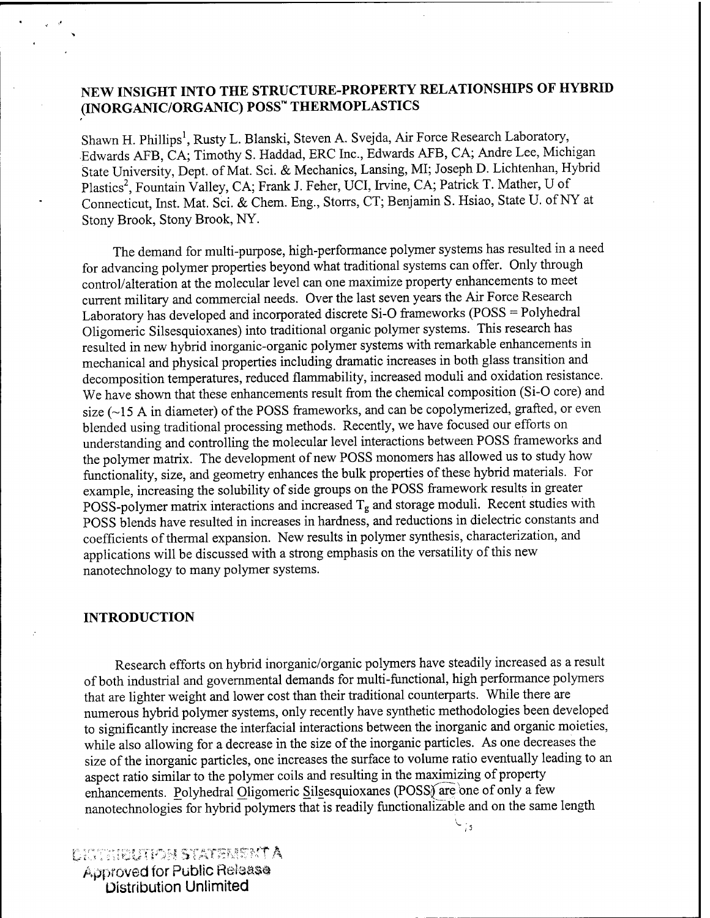# **NEW INSIGHT INTO THE STRUCTURE-PROPERTY RELATIONSHIPS OF HYBRID (INORGANIC/ORGANIC) POSS THERMOPLASTICS**

Shawn H. Phillips<sup>1</sup>, Rusty L. Blanski, Steven A. Svejda, Air Force Research Laboratory, Edwards AFB, CA; Timothy S. Haddad, ERC Inc., Edwards AFB, CA; Andre Lee, Michigan State University, Dept. of Mat. Sei. & Mechanics, Lansing, MI; Joseph D. Lichtenhan, Hybrid Plastics<sup>2</sup>, Fountain Valley, CA; Frank J. Feher, UCI, Irvine, CA; Patrick T. Mather, U of Connecticut, Inst. Mat. Sei. & Chem. Eng., Storrs, CT; Benjamin S. Hsiao, State U. ofNY at Stony Brook, Stony Brook, NY.

The demand for multi-purpose, high-performance polymer systems has resulted in a need for advancing polymer properties beyond what traditional systems can offer. Only through control/alteration at the molecular level can one maximize property enhancements to meet current military and commercial needs. Over the last seven years the Air Force Research Laboratory has developed and incorporated discrete Si-0 frameworks (POSS = Polyhedral Oligomeric Silsesquioxanes) into traditional organic polymer systems. This research has resulted in new hybrid inorganic-organic polymer systems with remarkable enhancements in mechanical and physical properties including dramatic increases in both glass transition and decomposition temperatures, reduced flammability, increased moduli and oxidation resistance. We have shown that these enhancements result from the chemical composition (Si-0 core) and size  $(\sim] 5$  A in diameter) of the POSS frameworks, and can be copolymerized, grafted, or even blended using traditional processing methods. Recently, we have focused our efforts on understanding and controlling the molecular level interactions between POSS frameworks and the polymer matrix. The development of new POSS monomers has allowed us to study how functionality, size, and geometry enhances the bulk properties of these hybrid materials. For example, increasing the solubility of side groups on the POSS framework results in greater POSS-polymer matrix interactions and increased  $T_g$  and storage moduli. Recent studies with POSS blends have resulted in increases in hardness, and reductions in dielectric constants and coefficients of thermal expansion. New results in polymer synthesis, characterization, and applications will be discussed with a strong emphasis on the versatility of this new nanotechnology to many polymer systems.

#### **INTRODUCTION**

Research efforts on hybrid inorganic/organic polymers have steadily increased as a result of both industrial and governmental demands for multi-functional, high performance polymers that are lighter weight and lower cost than their traditional counterparts. While there are numerous hybrid polymer systems, only recently have synthetic methodologies been developed to significantly increase the interfacial interactions between the inorganic and organic moieties, while also allowing for a decrease in the size of the inorganic particles. As one decreases the size of the inorganic particles, one increases the surface to volume ratio eventually leading to an aspect ratio similar to the polymer coils and resulting in the maximizing of property enhancements. Polyhedral Oligomeric Silsesquioxanes (POSS) are one of only a few nanotechnologies for hybrid polymers that is readily functionalizable and on the same length

 $\cup$  is

jrv *: '-. <sup>i</sup> Km* ra STfÄra-r?-rr <sup>A</sup> Approved for Public Reiaass Distribution Unlimited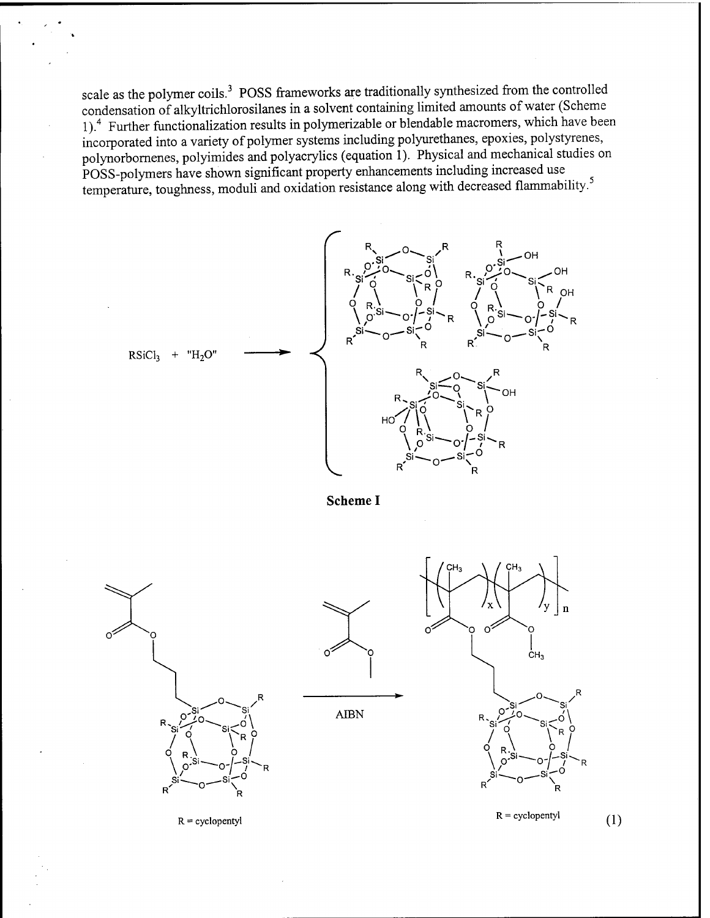scale as the polymer coils.<sup>3</sup> POSS frameworks are traditionally synthesized from the controlled condensation of alkyltrichlorosilanes in a solvent containing limited amounts of water (Scheme 1).<sup>4</sup> Further functionalization results in polymerizable or blendable macromers, which have been incorporated into a variety of polymer systems including polyurethanes, epoxies, polystyrenes, polynorbornenes, polyimides and polyacrylics (equation 1). Physical and mechanical studies on POSS-polymers have shown significant property enhancements including increased use temperature, toughness, moduli and oxidation resistance along with decreased flammability.



**Scheme I**

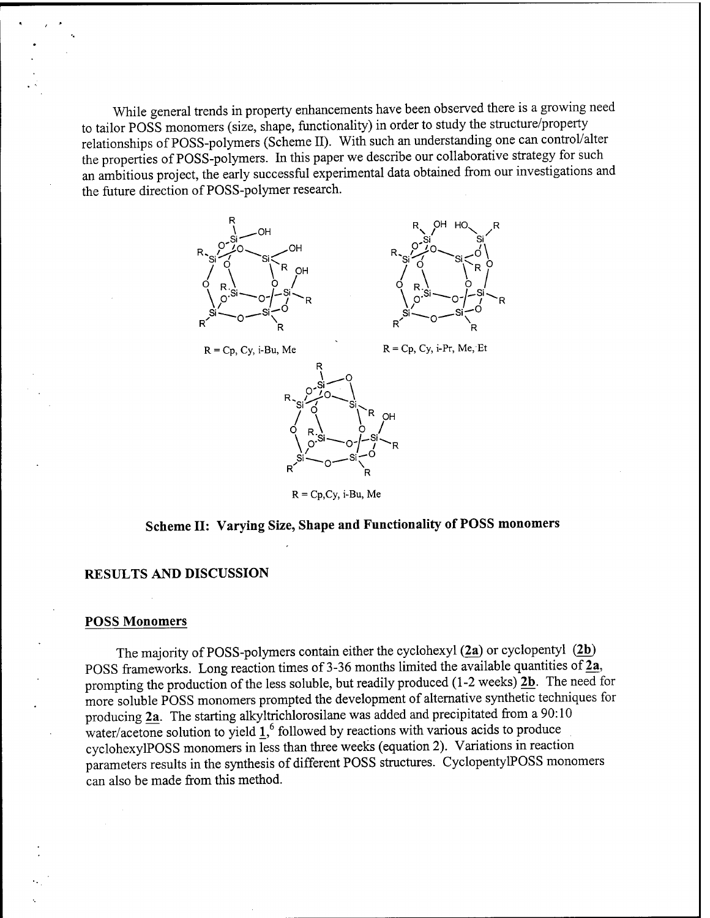While general trends in property enhancements have been observed there is a growing need to tailor POSS monomers (size, shape, functionality) in order to study the structure/property relationships of POSS-polymers (Scheme II). With such an understanding one can control/alter the properties of POSS-polymers. In this paper we describe our collaborative strategy for such an ambitious project, the early successful experimental data obtained from our investigations and the future direction of POSS-polymer research.





 $R = Cp, Cy, i-Bu, Me$   $R = Cp, Cy, i-Pr, Me, Et$ 



R = Cp,Cy, i-Bu, Me

# **Scheme II: Varying Size, Shape and Functionality of POSS monomers**

#### **RESULTS AND DISCUSSION**

#### **POSS Monomers**

The majority of POSS-polymers contain either the cyclohexyl  $(2a)$  or cyclopentyl  $(2b)$ POSS frameworks. Long reaction times of 3-36 months limited the available quantities of  $\overline{2a}$ , prompting the production of the less soluble, but readily produced (1-2 weeks)  $2b$ . The need for more soluble POSS monomers prompted the development of alternative synthetic techniques for producing 2a. The starting alkyltrichlorosilane was added and precipitated from a 90:10  $\frac{1}{2}$  water/acetone solution to yield  $\frac{1}{2}$ , followed by reactions with various acids to produce cyclohexylPOSS monomers in less than three weeks (equation 2). Variations in reaction parameters results in the synthesis of different POSS structures. CyclopentylPOSS monomers can also be made from this method.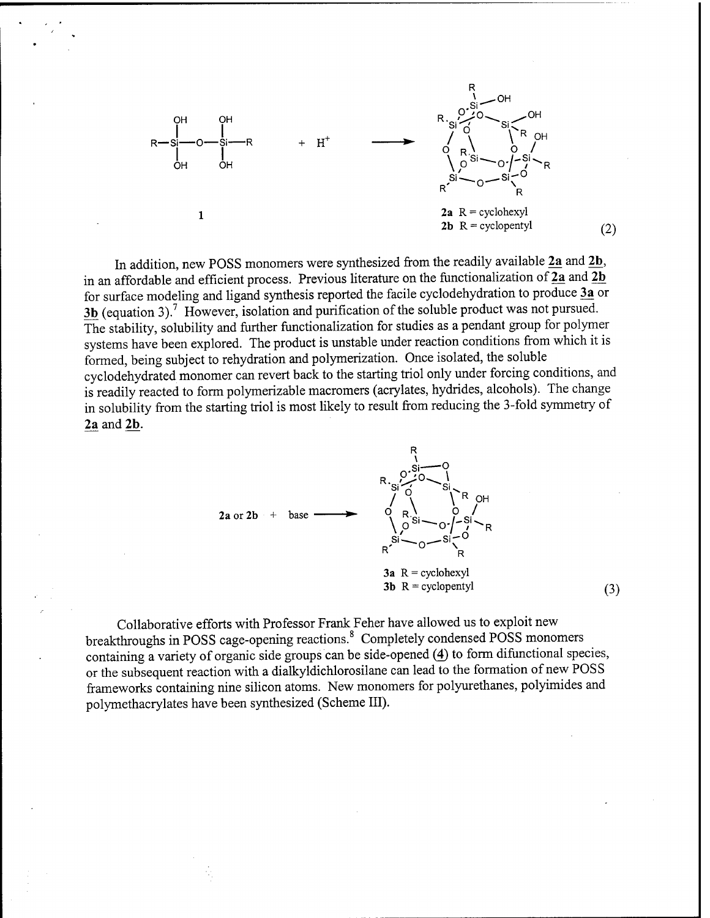

In addition, new POSS monomers were synthesized from the readily available 2a and 2b, in an affordable and efficient process. Previous literature on the functionalization of  $\overline{2a}$  and  $\overline{2b}$ for surface modeling and ligand synthesis reported the facile cyclodehydration to produce 3a or 3b (equation 3).<sup>7</sup> However, isolation and purification of the soluble product was not pursued. The stability, solubility and further functionalization for studies as a pendant group for polymer systems have been explored. The product is unstable under reaction conditions from which it is formed, being subject to rehydration and polymerization. Once isolated, the soluble cyclodehydrated monomer can revert back to the starting triol only under forcing conditions, and is readily reacted to form polymerizable macromers (acrylates, hydrides, alcohols). The change in solubility from the starting triol is most likely to result from reducing the 3-fold symmetry of 2a and 2b.



Collaborative efforts with Professor Frank Feher have allowed us to exploit new breakthroughs in POSS cage-opening reactions.<sup>8</sup> Completely condensed POSS monomers containing a variety of organic side groups can be side-opened (4) to form difunctional species, or the subsequent reaction with a dialkyldichlorosilane can lead to the formation of new POSS frameworks containing nine silicon atoms. New monomers for polyurethanes, polyimides and polymethacrylates have been synthesized (Scheme III).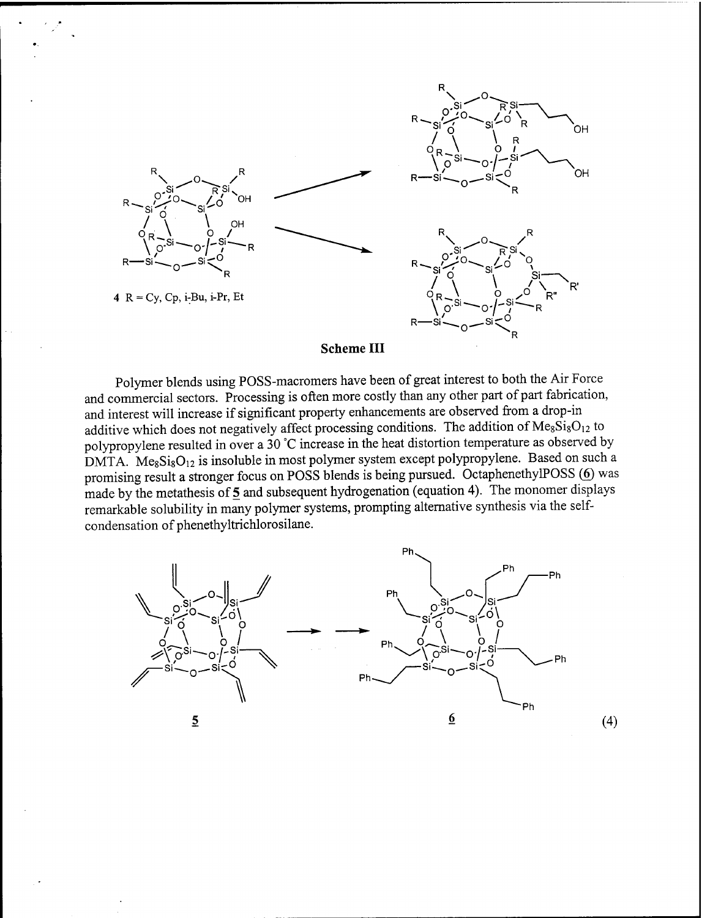



Polymer blends using POSS-macromers have been of great interest to both the Air Force and commercial sectors. Processing is often more costly than any other part of part fabrication, and interest will increase if significant property enhancements are observed from a drop-in additive which does not negatively affect processing conditions. The addition of  $Me<sub>8</sub>Si<sub>8</sub>O<sub>12</sub>$  to polypropylene resulted in over a 30 °C increase in the heat distortion temperature as observed by DMTA.  $Me<sub>8</sub>Si<sub>8</sub>O<sub>12</sub>$  is insoluble in most polymer system except polypropylene. Based on such a promising result a stronger focus on **POSS** blends is being pursued. OctaphenethylPOSS (6) was made by the metathesis of  $\frac{5}{5}$  and subsequent hydrogenation (equation 4). The monomer displays remarkable solubility in many polymer systems, prompting alternative synthesis via the selfcondensation of phenethyltrichlorosilane.

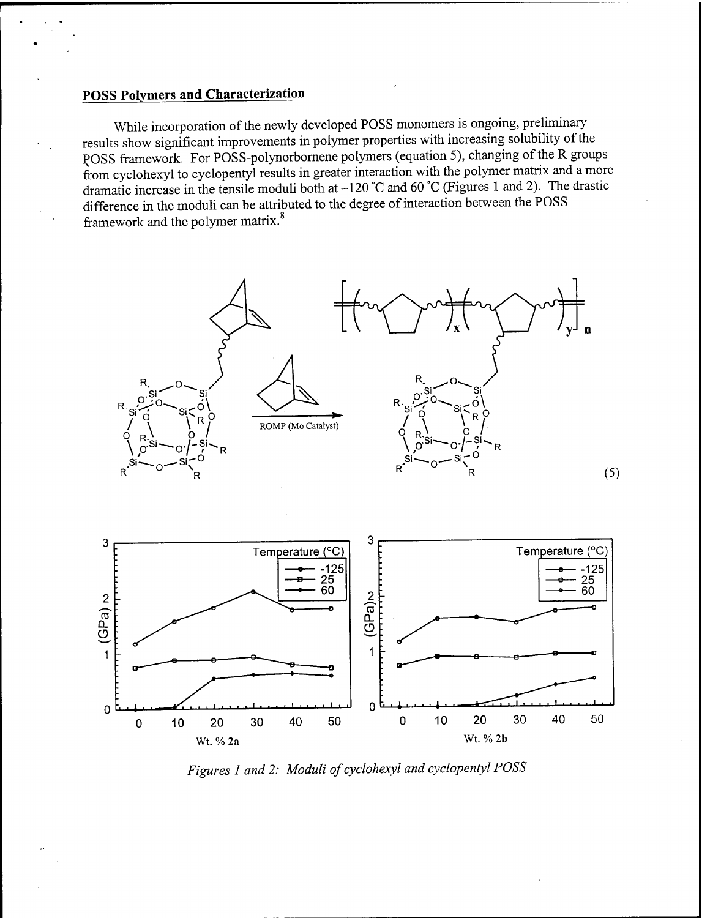# **POSS Polymers and Characterization**

While incorporation of the newly developed POSS monomers is ongoing, preliminary results show significant improvements in polymer properties with increasing solubility of the POSS framework. For POSS-polynorbornene polymers (equation 5), changing of the R groups from cyclohexyl to cyclopentyl results in greater interaction with the polymer matrix and a more dramatic increase in the tensile moduli both at -120 °C and 60 °C (Figures <sup>1</sup> and 2). The drastic difference in the moduli can be attributed to the degree of interaction between the POSS framework and the polymer matrix.



*Figures <sup>1</sup> and 2: Moduli ofcyclohexyl and cyclopentyl POSS*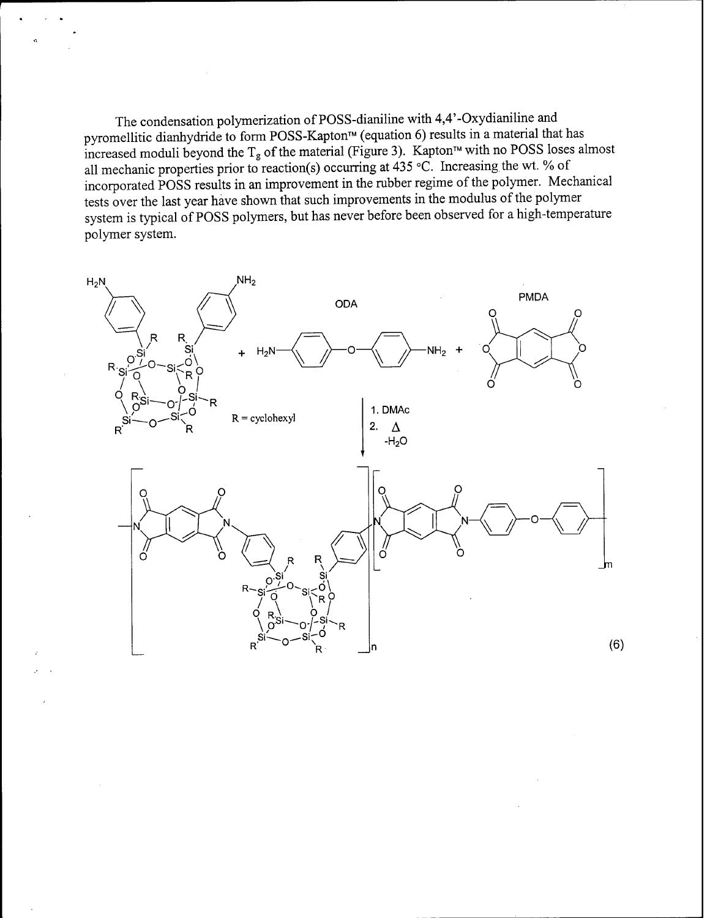The condensation polymerization of POSS-dianiline with 4,4'-Oxydianiline and pyromellitic dianhydride to form POSS-Kapton™ (equation 6) results in a material that has increased moduli beyond the T<sub>g</sub> of the material (Figure 3). Kapton<sup> $M$ </sup> with no POSS loses almost all mechanic properties prior to reaction(s) occurring at 435 °C. Increasing the wt. % of incorporated POSS results in an improvement in the rubber regime of the polymer. Mechanical tests over the last year have shown that such improvements in the modulus of the polymer system is typical of POSS polymers, but has never before been observed for a high-temperature polymer system.

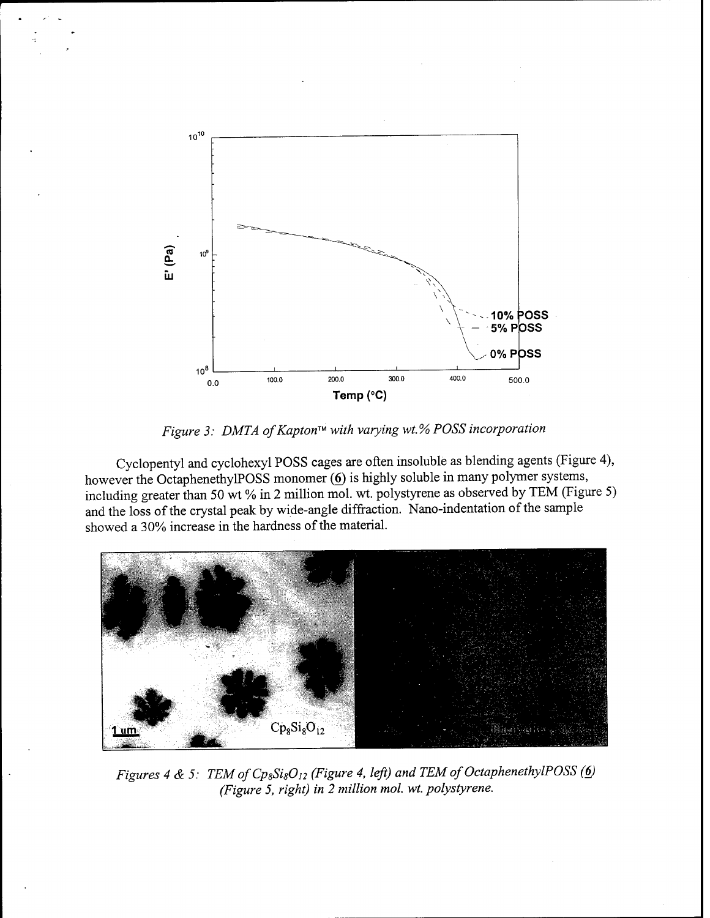

*Figure 3: DMT A ofKapton with varying wt.% POSS incorporation*

Cyclopentyl and cyclohexyl POSS cages are often insoluble as blending agents (Figure 4), however the OctaphenethylPOSS monomer (6) is highly soluble in many polymer systems, including greater than 50 wt % in 2 million mol. wt. polystyrene as observed by TEM (Figure 5) and the loss of the crystal peak by wide-angle diffraction. Nano-indentation of the sample showed a 30% increase in the hardness of the material.



*Figures <sup>4</sup> & 5: TEMofCp8Si80<sup>12</sup> (Figure 4, left) and TEM ofOctaphenethylPOSS (6) (Figure 5, right) in 2 million mol. wt. polystyrene.*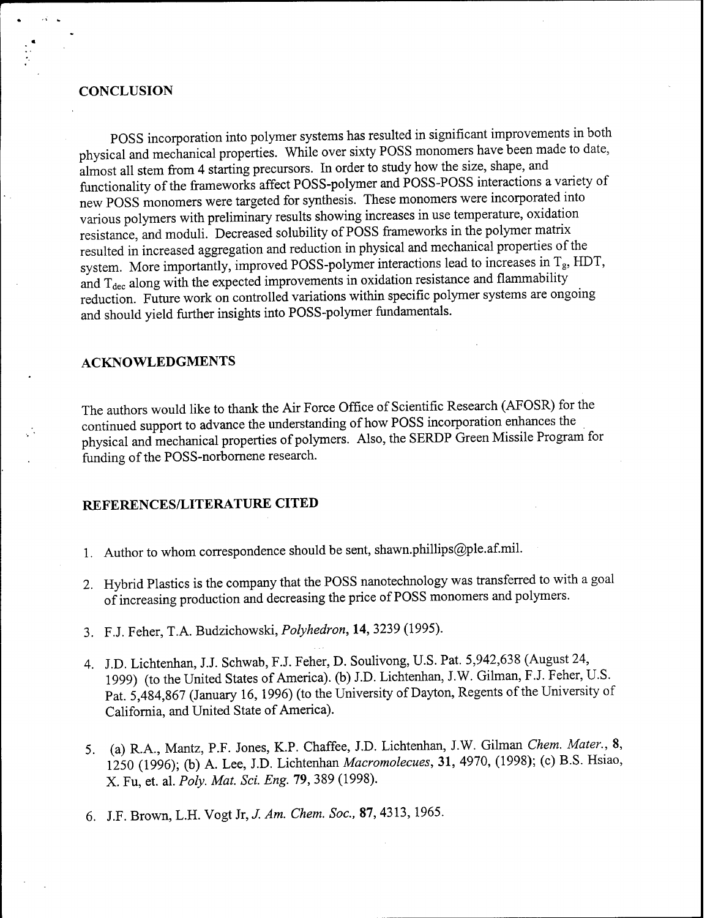#### **CONCLUSION**

POSS incorporation into polymer systems has resulted in significant improvements in both physical and mechanical properties. While over sixty POSS monomers have been made to date, almost all stem from 4 starting precursors. In order to study how the size, shape, and functionality of the frameworks affect POSS-polymer and POSS-POSS interactions a variety of new POSS monomers were targeted for synthesis. These monomers were incorporated into various polymers with preliminary results showing increases in use temperature, oxidation resistance, and moduli. Decreased solubility of POSS frameworks in the polymer matrix resulted in increased aggregation and reduction in physical and mechanical properties of the system. More importantly, improved POSS-polymer interactions lead to increases in Tg, HDT, and  $T_{\text{dec}}$  along with the expected improvements in oxidation resistance and flammability reduction. Future work on controlled variations within specific polymer systems are ongoing and should yield further insights into POSS-polymer fundamentals.

### **ACKNOWLEDGMENTS**

The authors would like to thank the Air Force Office of Scientific Research (AFOSR) for the continued support to advance the understanding of how POSS incorporation enhances the physical and mechanical properties of polymers. Also, the SERDP Green Missile Program for funding of the POSS-norbornene research.

## **REFERENCES/LITERATURE CITED**

- 1. Author to whom correspondence should be sent, shawn.phillips@ple.af.mil.
- 2. Hybrid Plastics is the company that the POSS nanotechnology was transferred to with a goal of increasing production and decreasing the price of POSS monomers and polymers.
- 3. F.J. Feher, T.A. Budzichowski, *Polyhedron,* 14, 3239 (1995).
- 4. J.D. Lichtenhan, JJ. Schwab, F.J. Feher, D. Soulivong, U.S. Pat. 5,942,638 (August 24, 1999) (to the United States of America), (b) J.D. Lichtenhan, J.W. Gilman, F.J. Feher, U.S. Pat. 5,484,867 (January 16, 1996) (to the University of Dayton, Regents of the University of California, and United State of America).
- 5. (a) R.A., Mantz, P.F. Jones, K.P. Chaffee, J.D. Lichtenhan, J.W. Gilman *Chem. Mater.,* 8, 1250 (1996); (b) A. Lee, J.D. Lichtenhan *Macromolecues,* 31, 4970, (1998); (c) B.S. Hsiao, X. Fu, et. al. *Poly. Mat. Sei. Eng. 19,* 389 (1998).
- 6. J.F. Brown, L.H. Vogt Jr, *J. Am. Chem. Soc.,* 87, 4313,1965.